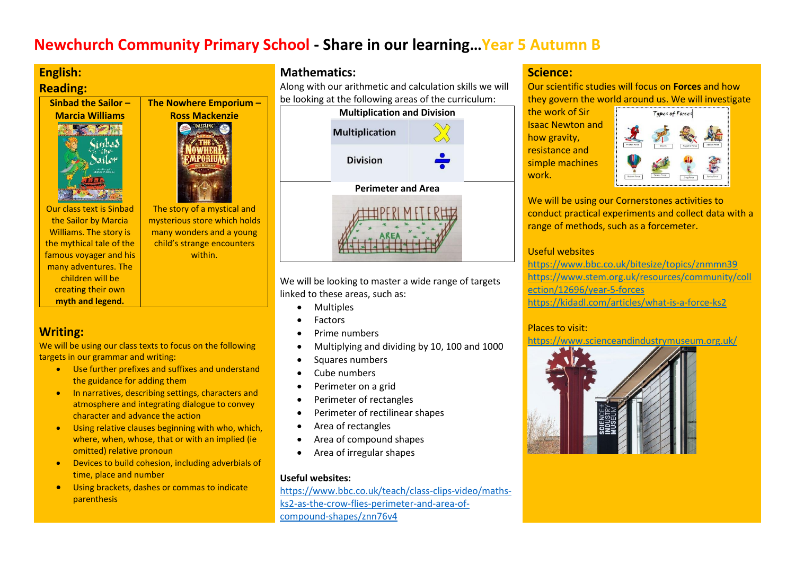# **Newchurch Community Primary School - Share in our learning…Year 5 Autumn B**

# **English:**

# **Reading:**

# **Sinbad the Sailor – Marcia Williams**



**The Nowhere Emporium – Ross Mackenzie** The story of a mystical and

Our class text is Sinbad the Sailor by Marcia Williams. The story is the mythical tale of the famous voyager and his many adventures. The mysterious store which holds many wonders and a young child's strange encounters within.

children will be creating their own **myth and legend.**

# **Writing:**

We will be using our class texts to focus on the following targets in our grammar and writing:

- Use further prefixes and suffixes and understand the guidance for adding them
- In narratives, describing settings, characters and atmosphere and integrating dialogue to convey character and advance the action
- Using relative clauses beginning with who, which, where, when, whose, that or with an implied (ie omitted) relative pronoun
- Devices to build cohesion, including adverbials of time, place and number
- Using brackets, dashes or commas to indicate parenthesis

# **Mathematics:**

Along with our arithmetic and calculation skills we will be looking at the following areas of the curriculum:



We will be looking to master a wide range of targets linked to these areas, such as:

- Multiples
- Factors
- Prime numbers
- Multiplying and dividing by 10, 100 and 1000
- Squares numbers
- Cube numbers
- Perimeter on a grid
- Perimeter of rectangles
- Perimeter of rectilinear shapes
- Area of rectangles
- Area of compound shapes
- Area of irregular shapes

## **Useful websites:**

[https://www.bbc.co.uk/teach/class-clips-video/maths](https://www.bbc.co.uk/teach/class-clips-video/maths-ks2-as-the-crow-flies-perimeter-and-area-of-compound-shapes/znn76v4)[ks2-as-the-crow-flies-perimeter-and-area-of](https://www.bbc.co.uk/teach/class-clips-video/maths-ks2-as-the-crow-flies-perimeter-and-area-of-compound-shapes/znn76v4)[compound-shapes/znn76v4](https://www.bbc.co.uk/teach/class-clips-video/maths-ks2-as-the-crow-flies-perimeter-and-area-of-compound-shapes/znn76v4)

# **Science:**

Our scientific studies will focus on **Forces** and how they govern the world around us. We will investigate

the work of Sir Isaac Newton and how gravity, resistance and simple machines work.



We will be using our Cornerstones activities to conduct practical experiments and collect data with a range of methods, such as a forcemeter.

## Useful websites

<https://www.bbc.co.uk/bitesize/topics/znmmn39> [https://www.stem.org.uk/resources/community/coll](https://www.stem.org.uk/resources/community/collection/12696/year-5-forces) [ection/12696/year-5-forces](https://www.stem.org.uk/resources/community/collection/12696/year-5-forces) <https://kidadl.com/articles/what-is-a-force-ks2>

## Places to visit:

https://www.scienceandindustrymuseum.org.uk/